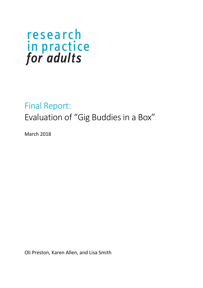### Final Report:

Evaluation of "Gig Buddies in a Box"

March 2018

Oli Preston, Karen Allen, and Lisa Smith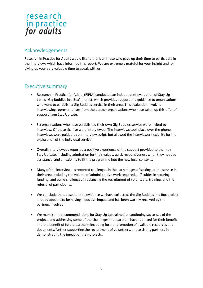#### Acknowledgements

Research in Practice for Adults would like to thank all those who gave up their time to participate in the interviews which have informed this report. We are extremely grateful for your insight and for giving up your very valuable time to speak with us.

#### Executive summary

- Research in Practice for Adults (RiPfA) conducted an independent evaluation of Stay Up Late's "Gig Buddies in a Box" project, which provides support and guidance to organisations who want to establish a Gig Buddies service in their area. This evaluation involved interviewing representatives from the partner organisations who have taken up this offer of support from Stay Up Late.
- Six organisations who have established their own Gig Buddies service were invited to interview. Of these six, five were interviewed. The interviews took place over the phone. Interviews were guided by an interview script, but allowed the interviewer flexibility for the exploration of the individual service.
- Overall, interviewees reported a positive experience of the support provided to them by Stay Up Late, including admiration for their values, quick responsiveness when they needed assistance, and a flexibility to fit the programme into the new local contexts.
- Many of the interviewees reported challenges in the early stages of setting up the service in their area, including the volume of administrative work required, difficulties in securing funding, and some challenges in balancing the recruitment of volunteers, training, and the referral of participants.
- We conclude that, based on the evidence we have collected, the Gig Buddies in a Box project already appears to be having a positive impact and has been warmly received by the partners involved.
- We make some recommendations for Stay Up Late aimed at continuing successes of the project, and addressing some of the challenges that partners have reported for their benefit and the benefit of future partners; including further promotion of available resources and documents, further supporting the recruitment of volunteers, and assisting partners in demonstrating the impact of their projects.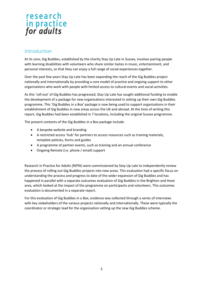#### Introduction

At its core, Gig Buddies, established by the charity Stay Up Late in Sussex, involves pairing people with learning disabilities with volunteers who share similar tastes in music, entertainment, and personal interests, so that they can enjoy a full range of social experiences together.

Over the past few years Stay Up Late has been expanding the reach of the Gig Buddies project nationally and internationally by providing a core model of practice and ongoing support to other organisations who work with people with limited access to cultural events and social activities.

As this 'roll-out' of Gig Buddies has progressed, Stay Up Late has sought additional funding to enable the development of a package for new organisations interested in setting up their own Gig Buddies programme. This 'Gig Buddies in a Box' package is now being used to support organisations in their establishment of Gig Buddies in new areas across the UK and abroad. At the time of writing this report, Gig Buddies had been established in 7 locations, including the original Sussex programme.

The present contents of the Gig Buddies in a Box package include:

- A bespoke website and branding
- A restricted access 'hub' for partners to access resources such as training materials, template policies, forms and guides
- A programme of partner events, such as training and an annual conference
- Ongoing Remote (i.e. phone / email) support

Research in Practice for Adults (RiPfA) were commissioned by Stay Up Late to independently review the process of rolling out Gig Buddies projects into new areas. This evaluation had a specific focus on understanding the process and progress to date of the wider expansion of Gig Buddies and has happened in parallel with a separate outcomes evaluation of Gig Buddies in the Brighton and Hove area, which looked at the impact of the programme on participants and volunteers. This outcomes evaluation is documented in a separate report.

For this evaluation of Gig Buddies in a Box, evidence was collected through a series of interviews with key stakeholders of the various projects nationally and internationally. These were typically the coordinator or strategic lead for the organisation setting up the new Gig Buddies scheme.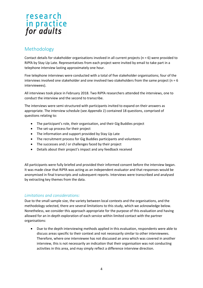#### Methodology

Contact details for stakeholder organisations involved in all current projects (n = 6) were provided to RiPfA by Stay Up Late. Representatives from each project were invited by email to take part in a telephone interview lasting approximately one hour.

Five telephone interviews were conducted with a total of five stakeholder organisations; four of the interviews involved one stakeholder and one involved two stakeholders from the same project ( $n = 6$ ) interviewees).

All interviews took place in February 2018. Two RiPfA researchers attended the interviews, one to conduct the interview and the second to transcribe.

The interviews were semi-structured with participants invited to expand on their answers as appropriate. The interview schedule (see *Appendix 1*) contained 18 questions, comprised of questions relating to:

- The participant's role, their organisation, and their Gig Buddies project
- The set-up process for their project
- The information and support provided by Stay Up Late
- The recruitment process for Gig Buddies participants and volunteers
- The successes and / or challenges faced by their project
- Details about their project's impact and any feedback received

All participants were fully briefed and provided their informed consent before the interview began. It was made clear that RiPfA was acting as an independent evaluator and that responses would be anonymised in final transcripts and subsequent reports. Interviews were transcribed and analysed by extracting key themes from the data.

#### *Limitations and considerations:*

Due to the small sample size, the variety between local contexts and the organisations, and the methodology selected, there are several limitations to this study, which we acknowledge below. Nonetheless, we consider this approach appropriate for the purpose of this evaluation and having allowed for an in-depth exploration of each service within limited contact with the partner organisations:

 Due to the depth interviewing methods applied in this evaluation, respondents were able to discuss areas specific to their context and not necessarily similar to other interviewees. Therefore, where one interviewee has not discussed an area which was covered in another interview, this is not necessarily an indication that their organisation was not conducting activities in this area, and may simply reflect a difference interview direction.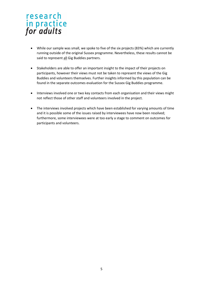- While our sample was small, we spoke to five of the six projects (83%) which are currently running outside of the original Sussex programme. Nevertheless, these results cannot be said to represent all Gig Buddies partners.
- Stakeholders are able to offer an important insight to the impact of their projects on participants, however their views must not be taken to represent the views of the Gig Buddies and volunteers themselves. Further insights informed by this population can be found in the separate outcomes evaluation for the Sussex Gig Buddies programme.
- Interviews involved one or two key contacts from each organisation and their views might not reflect those of other staff and volunteers involved in the project.
- The interviews involved projects which have been established for varying amounts of time and it is possible some of the issues raised by interviewees have now been resolved; furthermore, some interviewees were at too early a stage to comment on outcomes for participants and volunteers.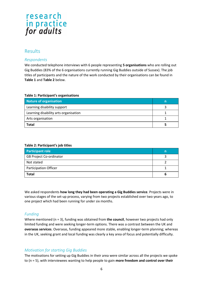#### Results

#### *Respondents*

We conducted telephone interviews with 6 people representing **5 organisations** who are rolling out Gig Buddies (83% of the 6 organisations currently running Gig Buddies outside of Sussex). The job titles of participants and the nature of the work conducted by their organisations can be found in **Table 1** and **Table 2** below.

#### **Table 1: Participant's organisations**

| Nature of organisation                | n |
|---------------------------------------|---|
| Learning disability support           |   |
| Learning disability arts organisation |   |
| Arts organisation                     |   |
| <b>Total</b>                          |   |

#### **Table 2: Participant's job titles**

| <b>Participant role</b>        | n |
|--------------------------------|---|
| <b>GB Project Co-ordinator</b> |   |
| Not stated                     |   |
| <b>Participation Officer</b>   |   |
| <b>Total</b>                   |   |

We asked respondents **how long they had been operating a Gig Buddies service**. Projects were in various stages of the set-up process, varying from two projects established over two years ago, to one project which had been running for under six months.

#### *Funding*

Where mentioned (n = 3), funding was obtained from **the council**, however two projects had only limited funding and were seeking longer-term options. There was a contrast between the UK and **overseas services**. Overseas, funding appeared more stable, enabling longer-term planning; whereas in the UK, seeking grant and local funding was clearly a key area of focus and potentially difficulty.

#### *Motivation for starting Gig Buddies*

The motivations for setting up Gig Buddies in their area were similar across all the projects we spoke to (n = 5), with interviewees wanting to help people to gain **more freedom and control over their**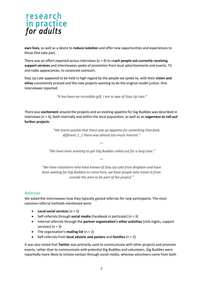**own lives**, as well as a desire to **reduce isolation** and offer new opportunities and experiences to those that take part.

There was an effort reported across interviews (n = 4) to re**ach people not currently receiving support services** and interviewees spoke of promotion from local advertisements and events, TV and radio appearances, to corporate outreach.

Stay Up Late appeared to be held in high regard by the people we spoke to, with their **vision and ethos** consistently praised and the new projects wanting to do the original model justice. One interviewee reported:

*"It has been an incredible gift, I am in awe of Stay Up Late."*

There was **excitement** around the projects and an existing appetite for Gig Buddies was described in interviews (n = 3), both internally and within the local population, as well as an **eagerness to roll-out further projects**:

> *"We learnt quickly that there was an appetite for something that feels different. […] There was almost too much interest."*

*"We have been wanting to get Gig Buddies rolled out for a long time."*

---

---

*"We have volunteers who have known of Stay Up Late from Brighton and have been waiting for Gig Buddies to come here, we have people who travel in from outside the area to be part of the project."*

#### *Referrals*

We asked the interviewees how they typically gained referrals for new participants. The most common referral methods mentioned were:

- **Local social services** (n = 5)
- Self-referrals through **social media** (Facebook in particular) (n = 3)
- Internal referrals through the **partner organisation's other activities** (club nights, support services) (n = 3)
- The organisation's **mailing list** (n = 2)
- Self-referrals from **local adverts and posters** and **families** (n = 2)

It was also noted that **Twitter** was primarily used to communicate with other projects and promote events, rather than to communicate with potential Gig Buddies and volunteers. Gig Buddies were reportedly more likely to initiate contact through social media, whereas volunteers came from both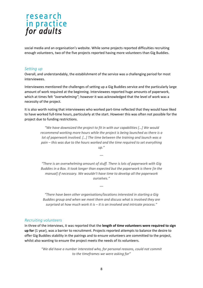social media and an organisation's website. While some projects reported difficulties recruiting enough volunteers, two of the five projects reported having more volunteers than Gig Buddies.

#### *Setting up*

Overall, and understandably, the establishment of the service was a challenging period for most interviewees.

Interviewees mentioned the challenges of setting up a Gig Buddies service and the particularly large amount of work required at the beginning. Interviewees reported huge amounts of paperwork, which at times felt *"overwhelming"*; however it was acknowledged that the level of work was a necessity of the project.

It is also worth noting that interviewees who worked part-time reflected that they would have liked to have worked full-time hours, particularly at the start. However this was often not possible for the project due to funding restrictions.

> *"We have downsized the project to fit in with our capabilities […] We would recommend working more hours while the project is being launched as there is a lot of paperwork involved. […] The time between the training and launch was a pain – this was due to the hours worked and the time required to set everything up."*

> *"There is an overwhelming amount of stuff. There is lots of paperwork with Gig Buddies in a Box. It took longer than expected but the paperwork is there [in the manual] if necessary. We wouldn't have time to develop all the paperwork ourselves."*

---

*"There have been other organisations/locations interested in starting a Gig Buddies group and when we meet them and discuss what is involved they are surprised at how much work it is – it is an involved and intricate process."*

---

#### *Recruiting volunteers*

In three of the interviews, it was reported that the **length of time volunteers were required to sign up for** (1 year), was a barrier to recruitment. Projects reported attempts to balance the desire to offer Gig Buddies stability in the pairings and to ensure volunteers are committed to the project, whilst also wanting to ensure the project meets the needs of its volunteers.

> *"We did have a number interested who, for personal reasons, could not commit to the timeframes we were asking for"*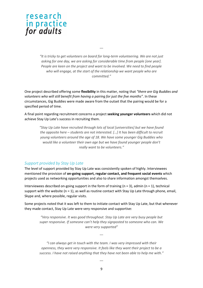*"It is tricky to get volunteers on board for long-term volunteering. We are not just asking for one day, we are asking for considerable time from people [one year]. People are keen on the project and want to be involved. We need to find people who will engage, at the start of the relationship we want people who are committed."*

---

One project described offering some **flexibility** in this matter, noting that *"there are Gig Buddies and volunteers who will still benefit from having a pairing for just the five months"*. In these circumstances, Gig Buddies were made aware from the outset that the pairing would be for a specified period of time.

A final point regarding recruitment concerns a project **seeking younger volunteers** which did not achieve Stay Up Late's success in recruiting them.

> *"Stay Up Late have recruited through lots of local [universities] but we have found the opposite here – students are not interested. […] It has been difficult to recruit young volunteers around the age of 18. We have some younger Gig Buddies who would like a volunteer their own age but we have found younger people don't really want to be volunteers."*

#### *Support provided by Stay Up Late*

The level of support provided by Stay Up Late was consistently spoken of highly. Interviewees mentioned the provision of **on-going support, regular contact, and frequent social events** which projects used as networking opportunities and also to share information amongst themselves.

Interviewees described on-going support in the form of training  $(n = 3)$ , admin  $(n = 1)$ , technical support with the website ( $n = 1$ ), as well as routine contact with Stay Up Late through phone, email, Skype and, where possible, regular visits.

Some projects noted that it was left to them to initiate contact with Stay Up Late, but that whenever they made contact, Stay Up Late were very responsive and supportive:

*"Very responsive. It was good throughout. Stay Up Late are very busy people but super responsive. If someone can't help they signposted to someone who can. We were very supported"*

*"I can always get in touch with the team. I was very impressed with their openness, they were very responsive. It feels like they want their project to be a success. I have not raised anything that they have not been able to help me with."*

---

---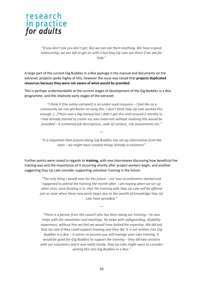

*"If you don't ask you don't get. But we can ask them anything. We have a good relationship, we are left to get on with it but Stay Up Late are there if we ask for help."*

A large part of the current Gig Buddies in a Box package is the manual and documents on the extranet; projects spoke highly of this, however the issue was raised that **projects duplicated resources because they were not aware of what would be provided**.

This is perhaps understandable at the current stages of development of the Gig Buddies in a Box programme, and the relatively early stages of the extranet:

> *"I think it [the online extranet] is an under-used resource – I feel like as a community we can get better at using this. I don't think Stay Up Late pushed this enough. […]There was a big manual but I didn't get this until around 2 months in. I had already started to create my own materials without realising this would be provided – it contained job descriptions, code of conduct, risk assessments etc."*

*"It is important that anyone doing Gig Buddies has set-up information from the start – we might have created things already in existence"* 

---

Further points were raised in regards to **training**, with one interviewee discussing how beneficial the training was and the importance of it occurring shortly after project workers begin, and another suggesting Stay Up Late consider supporting volunteer training in the future:

*"The only thing I would note for the future – our two co-ordinators started and happened to attend the training the month after. I am hoping when we set up other sites, once funding is in, that the training with Stay Up Late will be offered just as soon when these new posts begin due to the wealth of knowledge Stay Up Late have provided."*

---

*"There is a person from the council who has been doing our training – he also helps with the newsletter and meetings. He helps with safeguarding, disability awareness, without him we feel we would have lacked the expertise. We did ask Stay Up Late if they could support training and they did. It is not written into Gig Buddies in a Box – it seems to assume you will manage your own training. It would be good for Gig Buddies to support the training – they did two sessions with our volunteers and it was really handy. Stay Up Late might want to consider writing this into Gig Buddies in a Box."*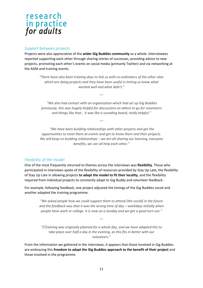#### *Support between projects*

Projects were also appreciative of the **wider Gig Buddies community** as a whole. Interviewees reported supporting each other through sharing stories of successes, providing advice to new projects, promoting each other's events on social media (primarily Twitter) and via networking at the AGM and training events.

> *"There have also been training days to link us with co-ordinators of the other sites which are doing projects and they have been useful in letting us know what worked well and what didn't."*

*"We also had contact with an organisation which had set up Gig Buddies previously, this was hugely helpful for discussions on where to go for volunteers and things like that… it was like a sounding board, really helpful."*

---

---

*"We have been building relationships with other projects and get the opportunities to meet them at events and get to know them and their projects. We will keep on building relationships – we are all sharing our learning, everyone benefits, we can all help each other."*

#### *Flexibility of the model*

One of the most frequently returned to themes across the interviews was **flexibility**. Those who participated in interviews spoke of the flexibility of resources provided by Stay Up Late, the flexibility of Stay Up Late in allowing projects **to adapt the model to fit their locality**, and the flexibility required from individual projects to constantly adapt to Gig Buddy and volunteer feedback.

For example, following feedback, one project adjusted the timings of the Gig Buddies social and another adapted the training programme.

> *"We asked people how we could support them to attend [the social] in the future*  and the feedback was that it was the wrong time of day – weekdays initially when *people have work or college. It is now on a Sunday and we get a good turn out."*

> > ---

*"[T]raining was originally planned for a whole day, and we have adapted this to take place over half a day in the evening, as this fits in better with our volunteers."*

From the information we gathered in the interviews, it appears that those involved in Gig Buddies are embracing this **freedom to adapt the Gig Buddies approach to the benefit of their project** and those involved in the programme.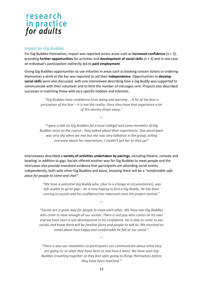#### *Impact on Gig Buddies*

For Gig Buddies themselves, impact was reported across areas such as **increased confidence** (n = 3), providing **further opportunities** for activities and **development of social skills** (n = 3) and in one case an individual's participation indirectly led to **paid employment**.

Giving Gig Buddies opportunities to use initiative in areas such as booking concert tickets or ordering themselves a drink at the bar was reported to aid their **independence**. Opportunities to **develop social skills** were also discussed, with one interviewee describing how a Gig Buddy was supported to communicate with their volunteer and to limit the number of messages sent. Projects also described successes in matching those with very specific hobbies and interests.

> *"Gig Buddies have confidence from doing and learning … A lot of the fear is perception of the fear – it is not the reality. Once they have that experience a lot of the anxiety drops away."*

> > ---

*"I gave a talk on Gig Buddies [at a local college] and some members of Gig Buddies were on the course - they talked about their experiences. One participant was very shy when we met but she was very talkative in the group, telling everyone about her experiences, I couldn't get her to shut up!"*

Interviewees described a **variety of activities undertaken by pairings**, including theatre, comedy and bowling, in addition to gigs. Socials offered another way for Gig Buddies to meet people and the interviews also provide anecdotal evidence that participants are attending social events independently, both with other Gig Buddies and alone, knowing there will be a *"comfortable safe place for people to come and chat"*.

> *"We have a potential Gig Buddy who, [due to a change in circumstances], was left unable to go to gigs – he is now hoping to find a Gig Buddy. He has been coming to socials and his confidence has improved since the project started."*

> > ---

*"Socials are a great way for people to meet each other. We have two Gig Buddies who come to near enough all our socials. There is one guy who comes on his own and we have seen a real development in his confidence. He is able to come to our socials and know there will be familiar faces and people to talk to. We received an email about how happy and comfortable he felt at our social."*

*"There is also our newsletter so participants can communicate about what they are going to, or what they have been to and how it went. We have seen Gig Buddies travelling together so they feel safer going to things themselves before they have been matched."*

---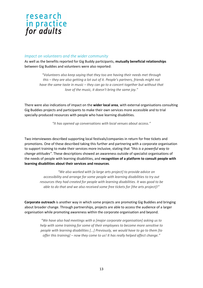

#### *Impact on volunteers and the wider community*

As well as the benefits reported for Gig Buddy participants, **mutually beneficial relationships** between Gig Buddies and volunteers were also reported:

> *"Volunteers also keep saying that they too are having their needs met through this – they are also getting a lot out of it. People's partners, friends might not have the same taste in music – they can go to a concert together but without that love of the music, it doesn't bring the same joy."*

There were also indications of impact on the **wider local area**, with external organisations consulting Gig Buddies projects and participants to make their own services more accessible and to trial specially-produced resources with people who have learning disabilities.

*"It has opened up conversations with local venues about access."*

Two interviewees described supporting local festivals/companies in return for free tickets and promotions. One of these described taking this further and partnering with a corporate organisation to support training to make their services more inclusive, stating that *"this is a powerful way to change attitudes"*. These descriptions showed an awareness outside of specialist organisations of the needs of people with learning disabilities, and **recognition of a platform to consult people with learning disabilities about their services and resources**.

*"We also worked with [a large arts project] to provide advice on accessibility and arrange for some people with learning disabilities to try out resources they had created for people with learning disabilities. It was good to be able to do that and we also received some free tickets for [the arts project]!"*

**Corporate outreach** is another way in which some projects are promoting Gig Buddies and bringing about broader change. Through partnerships, projects are able to access the audience of a larger organisation while promoting awareness within the corporate organisation and beyond.

> *"We have also had meetings with a [major corporate organisation] asking us to help with some training for some of their employees to become more sensitive to people with learning disabilities [...] Previously, we would have to go to them [to offer this training] – now they come to us! It has really helped affect change."*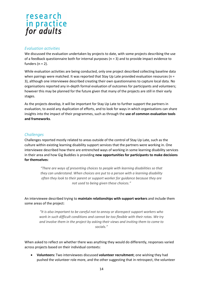#### *Evaluation activities*

We discussed the evaluation undertaken by projects to date, with some projects describing the use of a feedback questionnaire both for internal purposes ( $n = 3$ ) and to provide impact evidence to funders  $(n = 2)$ .

While evaluation activities are being conducted, only one project described collecting baseline data when pairings were matched. It was reported that Stay Up Late provided evaluation resources (n = 3), although one interviewee described creating their own questionnaires to capture local data. No organisations reported any in-depth formal evaluation of outcomes for participants and volunteers; however this may be planned for the future given that many of the projects are still in their early stages.

As the projects develop, it will be important for Stay Up Late to further support the partners in evaluation, to avoid any duplication of efforts, and to look for ways in which organisations can share insights into the impact of their programmes, such as through the **use of common evaluation tools and frameworks**.

#### *Challenges*

Challenges reported mostly related to areas outside of the control of Stay Up Late, such as the culture within existing learning disability support services that the partners were working in. One interviewee described how there are entrenched ways of working in some learning disability services in their area and how Gig Buddies is providing **new opportunities for participants to make decisions for themselves**:

> *"There are ways of presenting choices to people with learning disabilities so that they can understand. When choices are put to a person with a learning disability often they look to their parent or support worker for guidance because they are not used to being given these choices."*

An interviewee described trying to **maintain relationships with support workers** and include them some areas of the project:

*"It is also important to be careful not to annoy or disrespect support workers who work in such difficult conditions and cannot be too flexible with their rotas. We try and involve them in the project by asking their views and inviting them to come to socials."*

When asked to reflect on whether there was anything they would do differently, responses varied across projects based on their individual contexts:

 **Volunteers:** Two interviewees discussed **volunteer recruitment**; one wishing they had pushed the volunteer role more, and the other suggesting that in retrospect, the volunteer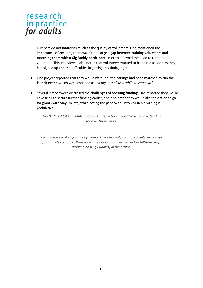numbers do not matter as much as the quality of volunteers. One mentioned the importance of ensuring there wasn't too large a **gap between training volunteers and matching them with a Gig Buddy participant**, in order to avoid the need to retrain the volunteer. This interviewee also noted that volunteers wanted to be paired as soon as they had signed up and the difficulties in getting this timing right.

- One project reported that they would wait until the pairings had been matched to run the **launch event**, which was described as *"so big, it took us a while to catch up".*
- Several interviewees discussed the **challenges of securing funding**. One reported they would have tried to secure further funding earlier, and also noted they would like the option to go for grants with Stay Up late, while noting the paperwork involved in bid writing is prohibitive.

*[Gig Buddies] takes a while to grow. On reflection, I would love to have funding for over three years.*

---

*I would have looked for more funding. There are only so many grants we can go for […]. We can only afford part-time working but we would like full-time staff working on [Gig Buddies] in the future.*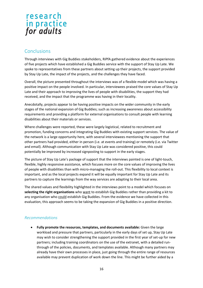#### **Conclusions**

Through interviews with Gig Buddies stakeholders, RiPfA gathered evidence about the experiences of five projects which have established a Gig Buddies service with the support of Stay Up Late. We spoke to representatives from these partners about setting up their projects, the support provided by Stay Up Late, the impact of the projects, and the challenges they have faced.

Overall, the picture presented throughout the interviews was of a flexible model which was having a positive impact on the people involved. In particular, interviewees praised the core values of Stay Up Late and their approach to improving the lives of people with disabilities, the support they had received, and the impact that the programme was having in their locality.

Anecdotally, projects appear to be having positive impacts on the wider community in the early stages of the national expansion of Gig Buddies; such as increasing awareness about accessibility requirements and providing a platform for external organisations to consult people with learning disabilities about their materials or services.

Where challenges were reported, these were largely logistical, related to recruitment and promotion, funding concerns and integrating Gig Buddies with existing support services. The value of the network is a large opportunity here, with several interviewees mentioning the support that other partners had provided, either in person (i.e. at events and training) or remotely (i.e. via Twitter and email). Although communication with Stay Up Late was considered positive, this could potentially be improved by increased signposting to support in the early stages.

The picture of Stay Up Late's package of support that the interviews painted is one of light-touch, flexible, highly responsive assistance, which focuses more on the core values of improving the lives of people with disabilities than with micro-managing the roll-out. This flexibility to local context is important, and as the local projects expand it will be equally important for Stay Up Late and its partners to capture the learnings from the way services are adapting to their local area.

The shared values and flexibility highlighted in the interviews point to a model which focuses on **selecting the right organisations** who want to establish Gig Buddies rather than providing a kit to any organisation who could establish Gig Buddies. From the evidence we have collected in this evaluation, this approach seems to be taking the expansion of Gig Buddies in a positive direction.

#### *Recommendations*

 **Fully promote the resources, templates, and documents available:** Given the large workload and pressure that partners, particularly in the early days of set up, Stay Up Late may wish to consider strengthening the support provided in the first year of set-up for new partners; including training coordinators on the use of the extranet, with a detailed runthrough of the policies, documents, and templates available. Although many partners may already have their own processes in place, just going through the entire range of resources available may prevent duplication of work down the line. This might be further aided by a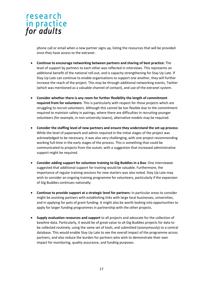phone call or email when a new partner signs up, listing the resources that will be provided once they have access to the extranet.

- **Continue to encourage networking between partners and sharing of best practice:** The level of support by partners to each other was reflected in interviews. This represents an additional benefit of the national roll-out, and is capacity-strengthening for Stay Up Late. If Stay Up Late can continue to enable organisations to support one another, they will further increase the reach of the project. This may be through additional networking events, Twitter (which was mentioned as a valuable channel of contact), and use of the extranet system.
- **Consider whether there is any room for further flexibility the length of commitment required from for volunteers**: This is particularly with respect for those projects which are struggling to recruit volunteers. Although this cannot be too flexible due to the commitment required to maintain safety in pairings, where there are difficulties in recruiting younger volunteers (for example, in non-university towns), alternative models may be required.
- **Consider the staffing level of new partners and ensure they understand the set-up process:** While the level of paperwork and admin required in the initial stages of the project was acknowledged to be necessary, it was also very challenging, with one project recommending working full-time in the early stages of the process. This is something that could be communicated to projects from the outset, with a suggestion that increased administrative support might be required.
- **Consider adding support for volunteer training to Gig Buddies in a Box**: One interviewee suggested that additional support for training would be valuable. Furthermore, the importance of regular training sessions for new starters was also noted. Stay Up Late may wish to consider an ongoing training programme for volunteers, particularly if the expansion of Gig Buddies continues nationally.
- **Continue to provide support at a strategic level for partners:** In particular areas to consider might be assisting partners with establishing links with large local businesses, universities, and in applying for pots of grant funding. It might also be worth looking into opportunities to apply for larger funding programmes in partnership with the other projects.
- **Supply evaluation resources and support** to all projects and advocate for the collection of baseline data. Particularly, it would be of great value to all Gig Buddies projects for data to be collected routinely, using the same set of tools, and submitted (anonymously) to a central database. This would enable Stay Up Late to see the overall impact of the programme across partners, and also reduce the burden for partners who wish to demonstrate their own impact for monitoring, quality assurance, and funding purposes.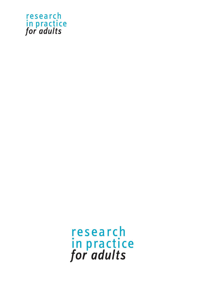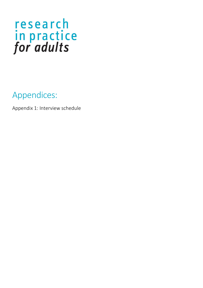Appendices:

Appendix 1: Interview schedule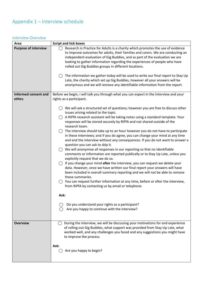#### Appendix 1 – Interview schedule

#### *Interview Overview*

| Area                                  | <b>Script and tick boxes</b>                                                                                                                                                                                                                                                                                                                                                                                                                                                                                                                                                                                                                                                                                                                                                                                                                                                                                                                                                                                                                                                                                                                                                                                              |
|---------------------------------------|---------------------------------------------------------------------------------------------------------------------------------------------------------------------------------------------------------------------------------------------------------------------------------------------------------------------------------------------------------------------------------------------------------------------------------------------------------------------------------------------------------------------------------------------------------------------------------------------------------------------------------------------------------------------------------------------------------------------------------------------------------------------------------------------------------------------------------------------------------------------------------------------------------------------------------------------------------------------------------------------------------------------------------------------------------------------------------------------------------------------------------------------------------------------------------------------------------------------------|
| <b>Purpose of interview</b>           | Research in Practice for Adults is a charity which promotes the use of evidence<br>to improve outcomes for adults, their families and carers. We are conducting an<br>independent evaluation of Gig Buddies, and as part of the evaluation we are<br>looking to gather information regarding the experiences of people who have<br>rolled out Gig Buddies groups in different locations.<br>The information we gather today will be used to write our final report to Stay Up<br>Late, the charity which set up Gig Buddies, however all your answers will be<br>anonymous and we will remove any identifiable information from the report.                                                                                                                                                                                                                                                                                                                                                                                                                                                                                                                                                                               |
|                                       |                                                                                                                                                                                                                                                                                                                                                                                                                                                                                                                                                                                                                                                                                                                                                                                                                                                                                                                                                                                                                                                                                                                                                                                                                           |
| <b>Informed consent and</b><br>ethics | Before we begin, I will talk you through what you can expect in the interview and your<br>rights as a participant.                                                                                                                                                                                                                                                                                                                                                                                                                                                                                                                                                                                                                                                                                                                                                                                                                                                                                                                                                                                                                                                                                                        |
|                                       | We will ask a structured set of questions; however you are free to discuss other<br>issues arising related to the topic.<br>A RiPfA research assistant will be taking notes using a standard template. Your<br>responses will be stored securely by RiPfA and not shared outside of the<br>research team.<br>The interview should take up to an hour however you do not have to participate<br>in these interviews; and if you do agree, you can change your mind at any time<br>and end the interview without any consequences. If you do not want to answer a<br>question you can ask to skip it.<br>We will anonymise all responses in our reporting so that no identifiable<br>comments or information are reported publically or to Stay Up Late, unless you<br>explicitly request that we do so.<br>If you change your mind after the interview, you can request we delete your<br>data. However, once we have written our final report your answers will have<br>been included in overall summary reporting and we will not be able to remove<br>these summaries.<br>You can request further information at any time, before or after the interview,<br>from RiPfA by contacting us by email or telephone.<br>Ask: |
|                                       | Do you understand your rights as a participant?<br>Are you happy to continue with the interview?                                                                                                                                                                                                                                                                                                                                                                                                                                                                                                                                                                                                                                                                                                                                                                                                                                                                                                                                                                                                                                                                                                                          |
|                                       |                                                                                                                                                                                                                                                                                                                                                                                                                                                                                                                                                                                                                                                                                                                                                                                                                                                                                                                                                                                                                                                                                                                                                                                                                           |
| <b>Overview</b>                       | During the interview, we will be discussing your motivations for and experience<br>$($ )<br>of rolling out Gig Buddies, what support was provided from Stay Up Late, what<br>worked well, and any challenges you faced and any suggestions you might have<br>to improve the process.<br>Ask:<br>Are you happy to begin?                                                                                                                                                                                                                                                                                                                                                                                                                                                                                                                                                                                                                                                                                                                                                                                                                                                                                                   |
|                                       |                                                                                                                                                                                                                                                                                                                                                                                                                                                                                                                                                                                                                                                                                                                                                                                                                                                                                                                                                                                                                                                                                                                                                                                                                           |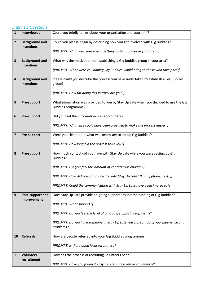#### *Interview Questions*

| $\mathbf{1}$            | Interviewee                         | Could you briefly tell us about your organisation and your role?                                                  |
|-------------------------|-------------------------------------|-------------------------------------------------------------------------------------------------------------------|
| $\overline{2}$          | <b>Background and</b>               | Could you please begin by describing how you got involved with Gig Buddies?                                       |
|                         | intentions                          | [PROMPT: What was your role in setting up Gig Buddies in your area?]                                              |
| 3                       | <b>Background and</b>               | What was the motivation for establishing a Gig Buddies group in your area?                                        |
|                         | intentions                          | [PROMPT: What were you hoping Gig Buddies would bring to those who take part?]                                    |
| 4                       | <b>Background and</b><br>intentions | Please could you describe the process you have undertaken to establish a Gig Buddies<br>group?                    |
|                         |                                     | [PROMPT: How far along this journey are you?]                                                                     |
| 5                       | <b>Pre-support</b>                  | What information was provided to you by Stay Up Late when you decided to use the Gig<br><b>Buddies programme?</b> |
| 6                       | <b>Pre-support</b>                  | Did you feel the information was appropriate?                                                                     |
|                         |                                     | [PROMPT: What else could have been provided to make the process easier?]                                          |
| $\overline{\mathbf{z}}$ | <b>Pre-support</b>                  | Were you clear about what was necessary to set up Gig Buddies?                                                    |
|                         |                                     | [PROMPT: How long did the process take you?]                                                                      |
| 8                       | <b>Pre-support</b>                  | How much contact did you have with Stay Up Late while you were setting up Gig<br>Buddies?                         |
|                         |                                     | [PROMPT: Did you feel this amount of contact was enough?]                                                         |
|                         |                                     | [PROMPT: How did you communicate with Stay Up Late? (Email, phone, text?)]                                        |
|                         |                                     | [PROMPT: Could the communication with Stay Up Late have been improved?]                                           |
| 9                       | Post-support and                    | Does Stay Up Late provide on-going support around the running of Gig Buddies?                                     |
|                         | improvement                         | [PROMPT: What support?]                                                                                           |
|                         |                                     | [PROMPT: Do you feel the level of on-going support is sufficient?]                                                |
|                         |                                     | [PROMPT: Do you have someone at Stay Up Late you can contact if you experience any<br>problems?                   |
| 10                      | <b>Referrals</b>                    | How are people referred into your Gig Buddies programme?                                                          |
|                         |                                     | [PROMPT: Is there good local awareness?                                                                           |
| 11                      | Volunteer                           | How has the process of recruiting volunteers been?                                                                |
|                         | recruitment                         | [PROMPT: Have you found it easy to recruit and retain volunteers?]                                                |